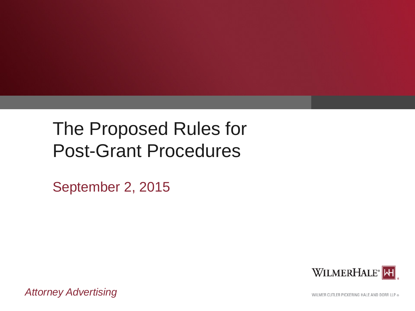# The Proposed Rules for Post-Grant Procedures

September 2, 2015



*Attorney Advertising*

WILMER CUTLER PICKERING HALE AND DORR LLP ®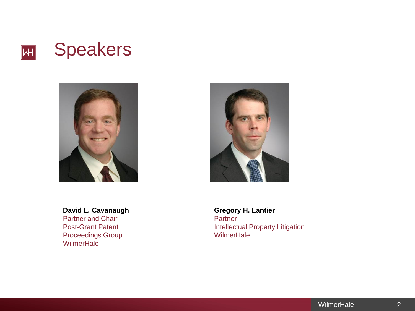





**David L. Cavanaugh** Partner and Chair, Post-Grant Patent

Proceedings Group **WilmerHale** 

**Gregory H. Lantier Partner** Intellectual Property Litigation **WilmerHale**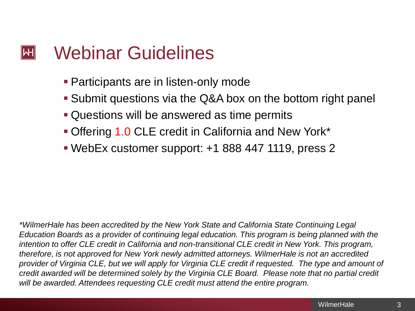## Webinar Guidelines  $\left\Vert \mathsf{H}\right\Vert$

- **Participants are in listen-only mode**
- Submit questions via the Q&A box on the bottom right panel
- Questions will be answered as time permits
- Offering 1.0 CLE credit in California and New York\*
- WebEx customer support: +1 888 447 1119, press 2

*\*WilmerHale has been accredited by the New York State and California State Continuing Legal Education Boards as a provider of continuing legal education. This program is being planned with the intention to offer CLE credit in California and non-transitional CLE credit in New York. This program, therefore, is not approved for New York newly admitted attorneys. WilmerHale is not an accredited provider of Virginia CLE, but we will apply for Virginia CLE credit if requested. The type and amount of credit awarded will be determined solely by the Virginia CLE Board. Please note that no partial credit will be awarded. Attendees requesting CLE credit must attend the entire program.*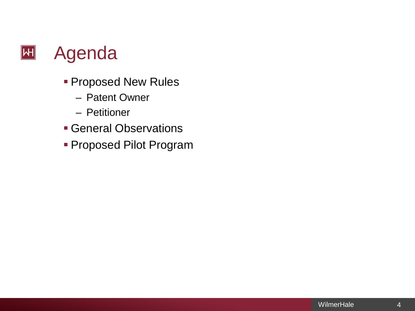

- **Proposed New Rules** 
	- Patent Owner
	- Petitioner
- General Observations
- Proposed Pilot Program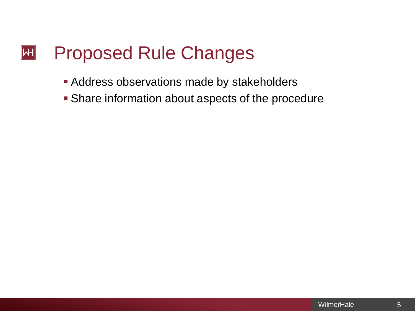## $|\mathsf{H}|$ Proposed Rule Changes

- **Address observations made by stakeholders**
- **Share information about aspects of the procedure**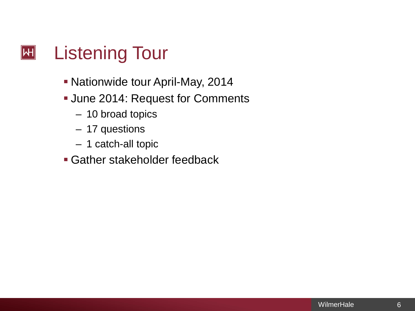# $|\mathsf{H}|$ Listening Tour

- **Nationwide tour April-May, 2014**
- **June 2014: Request for Comments** 
	- 10 broad topics
	- 17 questions
	- 1 catch-all topic
- Gather stakeholder feedback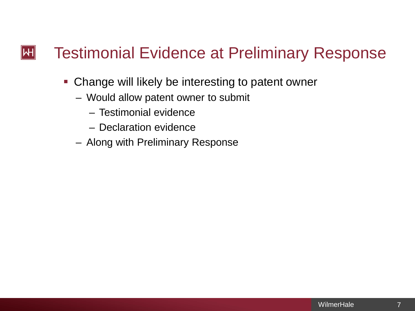#### Testimonial Evidence at Preliminary Response  $\left\Vert \mathsf{H}\right\Vert$

- **Change will likely be interesting to patent owner** 
	- Would allow patent owner to submit
		- Testimonial evidence
		- Declaration evidence
	- Along with Preliminary Response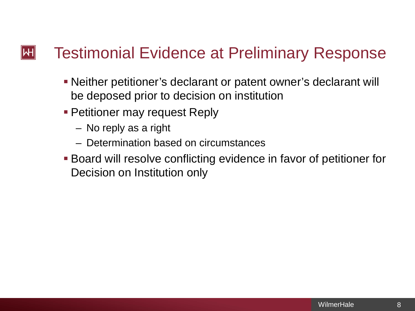### Testimonial Evidence at Preliminary Response  $\mathsf{|\mathsf{H}|}$

- Neither petitioner's declarant or patent owner's declarant will be deposed prior to decision on institution
- **Petitioner may request Reply** 
	- No reply as a right
	- Determination based on circumstances
- Board will resolve conflicting evidence in favor of petitioner for Decision on Institution only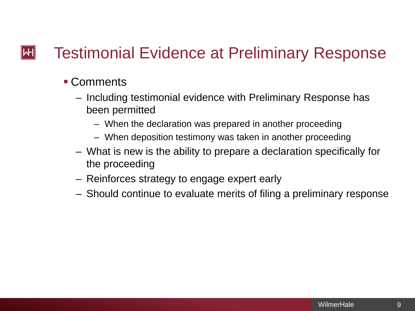### Testimonial Evidence at Preliminary Response  $\mathsf{|\mathsf{H}|}$

- Comments
	- Including testimonial evidence with Preliminary Response has been permitted
		- When the declaration was prepared in another proceeding
		- When deposition testimony was taken in another proceeding
	- What is new is the ability to prepare a declaration specifically for the proceeding
	- Reinforces strategy to engage expert early
	- Should continue to evaluate merits of filing a preliminary response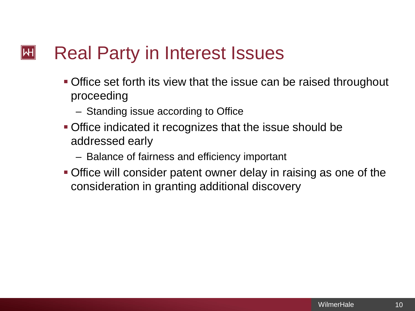## Real Party in Interest Issues  $\left\Vert \mathsf{H}\right\Vert$

- Office set forth its view that the issue can be raised throughout proceeding
	- Standing issue according to Office
- Office indicated it recognizes that the issue should be addressed early
	- Balance of fairness and efficiency important
- Office will consider patent owner delay in raising as one of the consideration in granting additional discovery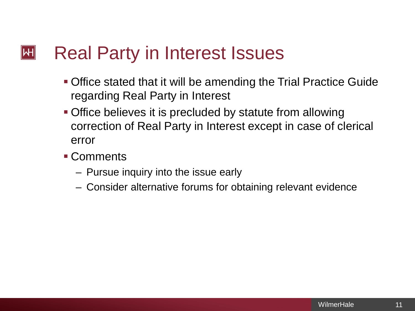## Real Party in Interest Issues  $\left\Vert \mathsf{H}\right\Vert$

- Office stated that it will be amending the Trial Practice Guide regarding Real Party in Interest
- **Office believes it is precluded by statute from allowing** correction of Real Party in Interest except in case of clerical error
- Comments
	- Pursue inquiry into the issue early
	- Consider alternative forums for obtaining relevant evidence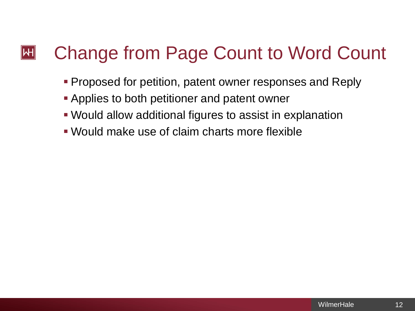# Change from Page Count to Word Count  $\mathsf{|\mathsf{H}|}$

- **Proposed for petition, patent owner responses and Reply**
- **Applies to both petitioner and patent owner**
- Would allow additional figures to assist in explanation
- Would make use of claim charts more flexible

12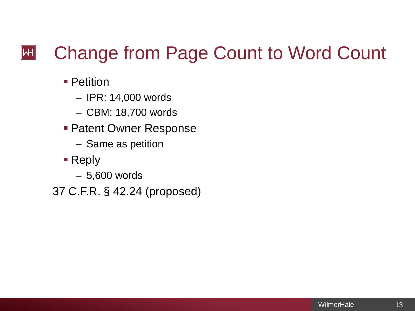# Change from Page Count to Word Count  $|\mathsf{H}|$

- Petition
	- IPR: 14,000 words
	- CBM: 18,700 words
- **Patent Owner Response** 
	- Same as petition
- Reply
	- 5,600 words

37 C.F.R. § 42.24 (proposed)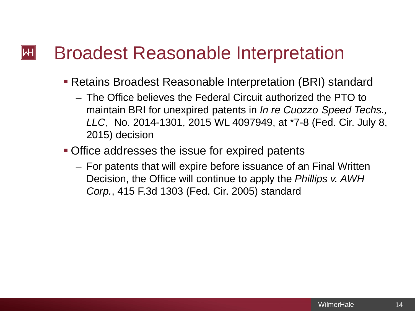## Broadest Reasonable Interpretation  $\mathsf{I}\mathsf{H}\mathsf{I}$

- Retains Broadest Reasonable Interpretation (BRI) standard
	- The Office believes the Federal Circuit authorized the PTO to maintain BRI for unexpired patents in *In re Cuozzo Speed Techs., LLC*, No. 2014-1301, 2015 WL 4097949, at \*7-8 (Fed. Cir. July 8, 2015) decision
- **Office addresses the issue for expired patents** 
	- For patents that will expire before issuance of an Final Written Decision, the Office will continue to apply the *Phillips v. AWH Corp.*, 415 F.3d 1303 (Fed. Cir. 2005) standard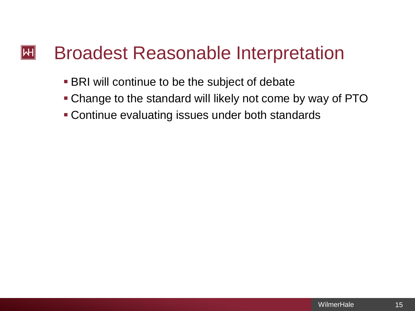## Broadest Reasonable Interpretation  $\left\Vert \mathsf{H}\right\Vert$

- **BRI will continue to be the subject of debate**
- Change to the standard will likely not come by way of PTO
- Continue evaluating issues under both standards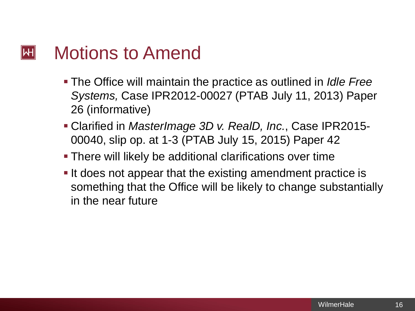## Motions to Amend  $\left\Vert \mathsf{H}\right\Vert$

- The Office will maintain the practice as outlined in *Idle Free Systems,* Case IPR2012-00027 (PTAB July 11, 2013) Paper 26 (informative)
- Clarified in *MasterImage 3D v. RealD, Inc.*, Case IPR2015- 00040, slip op. at 1-3 (PTAB July 15, 2015) Paper 42
- There will likely be additional clarifications over time
- If does not appear that the existing amendment practice is something that the Office will be likely to change substantially in the near future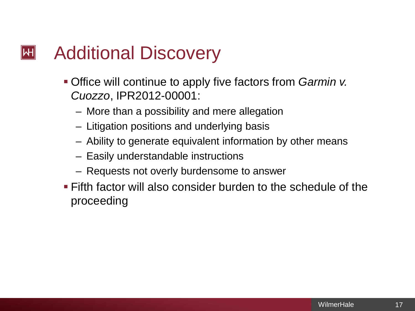## Additional Discovery  $\left\Vert \mathsf{H}\right\Vert$

- Office will continue to apply five factors from *Garmin v. Cuozzo*, IPR2012-00001:
	- More than a possibility and mere allegation
	- Litigation positions and underlying basis
	- Ability to generate equivalent information by other means
	- Easily understandable instructions
	- Requests not overly burdensome to answer
- **Fifth factor will also consider burden to the schedule of the** proceeding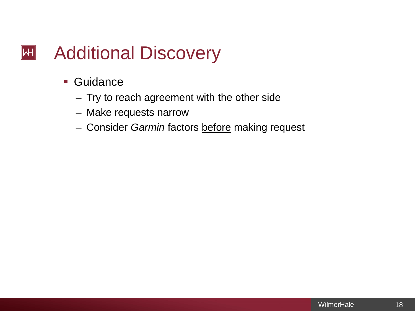# $|\mathsf{H}|$ Additional Discovery

- Guidance
	- Try to reach agreement with the other side
	- Make requests narrow
	- Consider *Garmin* factors before making request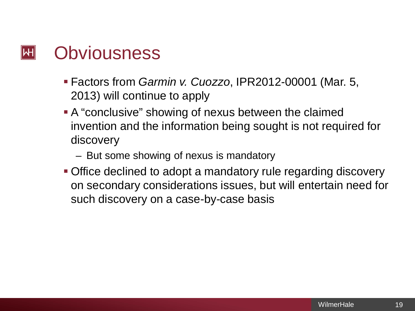

- Factors from *Garmin v. Cuozzo*, IPR2012-00001 (Mar. 5, 2013) will continue to apply
- A "conclusive" showing of nexus between the claimed invention and the information being sought is not required for discovery
	- But some showing of nexus is mandatory
- **Office declined to adopt a mandatory rule regarding discovery** on secondary considerations issues, but will entertain need for such discovery on a case-by-case basis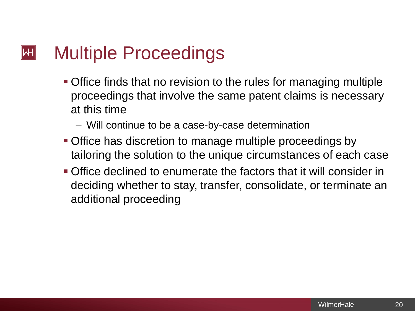## Multiple Proceedings  $\left\Vert \mathsf{H}\right\Vert$

- Office finds that no revision to the rules for managing multiple proceedings that involve the same patent claims is necessary at this time
	- Will continue to be a case-by-case determination
- **Office has discretion to manage multiple proceedings by** tailoring the solution to the unique circumstances of each case
- Office declined to enumerate the factors that it will consider in deciding whether to stay, transfer, consolidate, or terminate an additional proceeding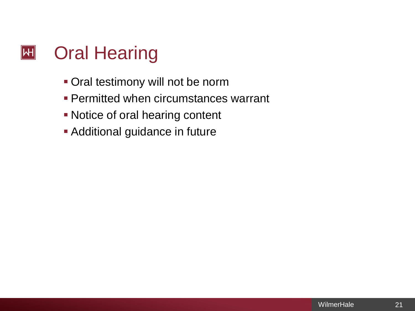

- **Oral testimony will not be norm**
- **Permitted when circumstances warrant**
- **Notice of oral hearing content**
- **Additional guidance in future**

21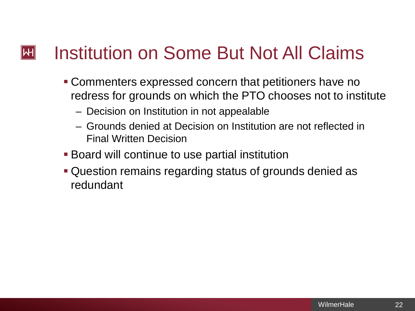# Institution on Some But Not All Claims  $\left\Vert \mathsf{H}\right\Vert$

- Commenters expressed concern that petitioners have no redress for grounds on which the PTO chooses not to institute
	- Decision on Institution in not appealable
	- Grounds denied at Decision on Institution are not reflected in Final Written Decision
- Board will continue to use partial institution
- Question remains regarding status of grounds denied as redundant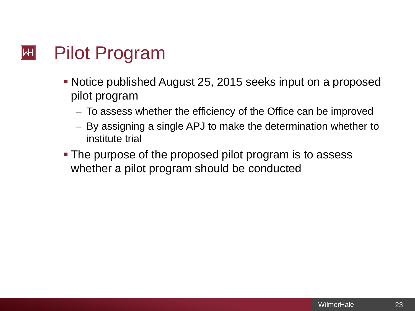

- Notice published August 25, 2015 seeks input on a proposed pilot program
	- To assess whether the efficiency of the Office can be improved
	- By assigning a single APJ to make the determination whether to institute trial
- The purpose of the proposed pilot program is to assess whether a pilot program should be conducted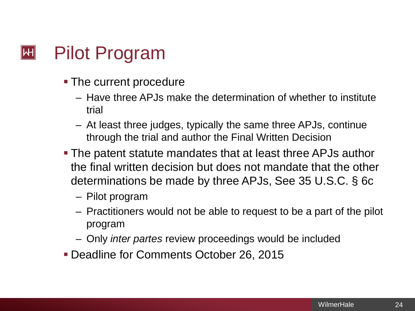

- **The current procedure** 
	- Have three APJs make the determination of whether to institute trial
	- At least three judges, typically the same three APJs, continue through the trial and author the Final Written Decision
- The patent statute mandates that at least three APJs author the final written decision but does not mandate that the other determinations be made by three APJs, See 35 U.S.C. § 6c
	- Pilot program
	- Practitioners would not be able to request to be a part of the pilot program
	- Only *inter partes* review proceedings would be included
- **Deadline for Comments October 26, 2015**

24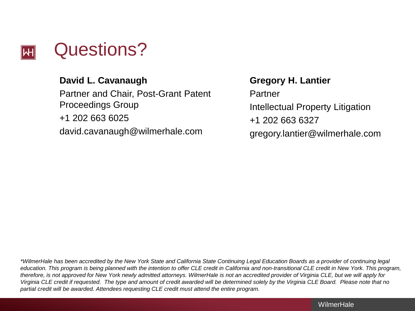

# **David L. Cavanaugh**

Partner and Chair, Post-Grant Patent Proceedings Group +1 202 663 6025 david.cavanaugh@wilmerhale.com

**Gregory H. Lantier**

Partner Intellectual Property Litigation +1 202 663 6327 gregory.lantier@wilmerhale.com

*\*WilmerHale has been accredited by the New York State and California State Continuing Legal Education Boards as a provider of continuing legal education. This program is being planned with the intention to offer CLE credit in California and non-transitional CLE credit in New York. This program, therefore, is not approved for New York newly admitted attorneys. WilmerHale is not an accredited provider of Virginia CLE, but we will apply for Virginia CLE credit if requested. The type and amount of credit awarded will be determined solely by the Virginia CLE Board. Please note that no partial credit will be awarded. Attendees requesting CLE credit must attend the entire program.*

**WilmerHale**